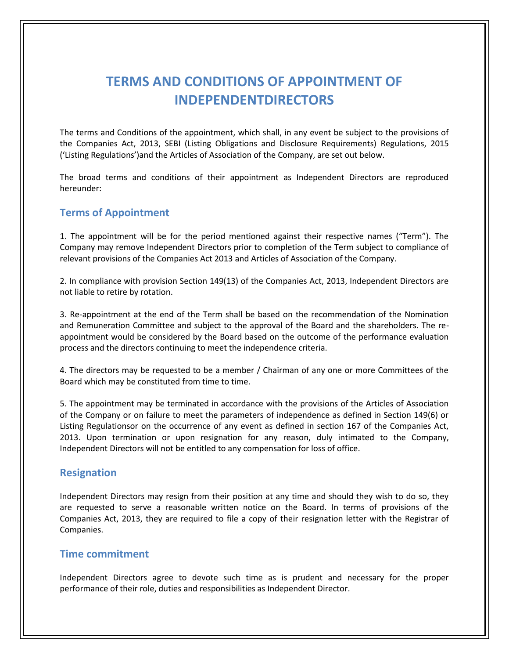# **TERMS AND CONDITIONS OF APPOINTMENT OF INDEPENDENTDIRECTORS**

The terms and Conditions of the appointment, which shall, in any event be subject to the provisions of the Companies Act, 2013, SEBI (Listing Obligations and Disclosure Requirements) Regulations, 2015 ('Listing Regulations')and the Articles of Association of the Company, are set out below.

The broad terms and conditions of their appointment as Independent Directors are reproduced hereunder:

# **Terms of Appointment**

1. The appointment will be for the period mentioned against their respective names ("Term"). The Company may remove Independent Directors prior to completion of the Term subject to compliance of relevant provisions of the Companies Act 2013 and Articles of Association of the Company.

2. In compliance with provision Section 149(13) of the Companies Act, 2013, Independent Directors are not liable to retire by rotation.

3. Re-appointment at the end of the Term shall be based on the recommendation of the Nomination and Remuneration Committee and subject to the approval of the Board and the shareholders. The reappointment would be considered by the Board based on the outcome of the performance evaluation process and the directors continuing to meet the independence criteria.

4. The directors may be requested to be a member / Chairman of any one or more Committees of the Board which may be constituted from time to time.

5. The appointment may be terminated in accordance with the provisions of the Articles of Association of the Company or on failure to meet the parameters of independence as defined in Section 149(6) or Listing Regulationsor on the occurrence of any event as defined in section 167 of the Companies Act, 2013. Upon termination or upon resignation for any reason, duly intimated to the Company, Independent Directors will not be entitled to any compensation for loss of office.

#### **Resignation**

Independent Directors may resign from their position at any time and should they wish to do so, they are requested to serve a reasonable written notice on the Board. In terms of provisions of the Companies Act, 2013, they are required to file a copy of their resignation letter with the Registrar of Companies.

#### **Time commitment**

Independent Directors agree to devote such time as is prudent and necessary for the proper performance of their role, duties and responsibilities as Independent Director.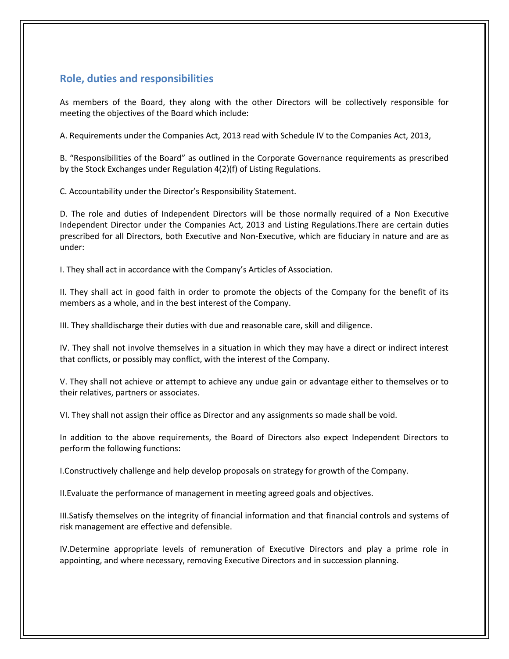# **Role, duties and responsibilities**

As members of the Board, they along with the other Directors will be collectively responsible for meeting the objectives of the Board which include:

A. Requirements under the Companies Act, 2013 read with Schedule IV to the Companies Act, 2013,

B. "Responsibilities of the Board" as outlined in the Corporate Governance requirements as prescribed by the Stock Exchanges under Regulation 4(2)(f) of Listing Regulations.

C. Accountability under the Director's Responsibility Statement.

D. The role and duties of Independent Directors will be those normally required of a Non Executive Independent Director under the Companies Act, 2013 and Listing Regulations.There are certain duties prescribed for all Directors, both Executive and Non-Executive, which are fiduciary in nature and are as under:

I. They shall act in accordance with the Company's Articles of Association.

II. They shall act in good faith in order to promote the objects of the Company for the benefit of its members as a whole, and in the best interest of the Company.

III. They shalldischarge their duties with due and reasonable care, skill and diligence.

IV. They shall not involve themselves in a situation in which they may have a direct or indirect interest that conflicts, or possibly may conflict, with the interest of the Company.

V. They shall not achieve or attempt to achieve any undue gain or advantage either to themselves or to their relatives, partners or associates.

VI. They shall not assign their office as Director and any assignments so made shall be void.

In addition to the above requirements, the Board of Directors also expect Independent Directors to perform the following functions:

I.Constructively challenge and help develop proposals on strategy for growth of the Company.

II.Evaluate the performance of management in meeting agreed goals and objectives.

III.Satisfy themselves on the integrity of financial information and that financial controls and systems of risk management are effective and defensible.

IV.Determine appropriate levels of remuneration of Executive Directors and play a prime role in appointing, and where necessary, removing Executive Directors and in succession planning.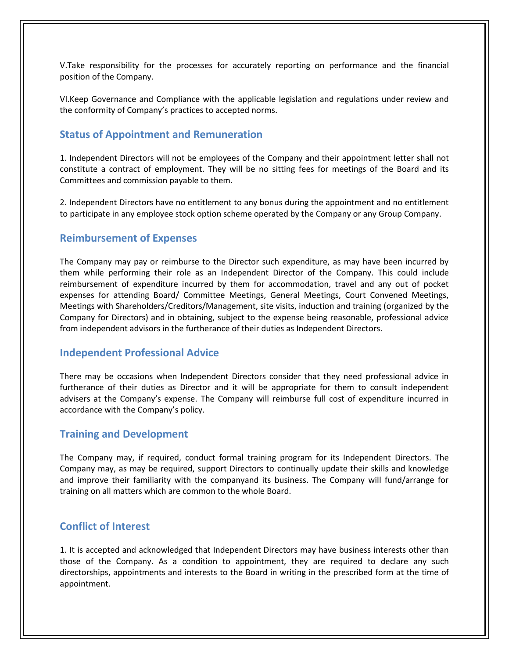V.Take responsibility for the processes for accurately reporting on performance and the financial position of the Company.

VI.Keep Governance and Compliance with the applicable legislation and regulations under review and the conformity of Company's practices to accepted norms.

#### **Status of Appointment and Remuneration**

1. Independent Directors will not be employees of the Company and their appointment letter shall not constitute a contract of employment. They will be no sitting fees for meetings of the Board and its Committees and commission payable to them.

2. Independent Directors have no entitlement to any bonus during the appointment and no entitlement to participate in any employee stock option scheme operated by the Company or any Group Company.

#### **Reimbursement of Expenses**

The Company may pay or reimburse to the Director such expenditure, as may have been incurred by them while performing their role as an Independent Director of the Company. This could include reimbursement of expenditure incurred by them for accommodation, travel and any out of pocket expenses for attending Board/ Committee Meetings, General Meetings, Court Convened Meetings, Meetings with Shareholders/Creditors/Management, site visits, induction and training (organized by the Company for Directors) and in obtaining, subject to the expense being reasonable, professional advice from independent advisors in the furtherance of their duties as Independent Directors.

#### **Independent Professional Advice**

There may be occasions when Independent Directors consider that they need professional advice in furtherance of their duties as Director and it will be appropriate for them to consult independent advisers at the Company's expense. The Company will reimburse full cost of expenditure incurred in accordance with the Company's policy.

#### **Training and Development**

The Company may, if required, conduct formal training program for its Independent Directors. The Company may, as may be required, support Directors to continually update their skills and knowledge and improve their familiarity with the companyand its business. The Company will fund/arrange for training on all matters which are common to the whole Board.

### **Conflict of Interest**

1. It is accepted and acknowledged that Independent Directors may have business interests other than those of the Company. As a condition to appointment, they are required to declare any such directorships, appointments and interests to the Board in writing in the prescribed form at the time of appointment.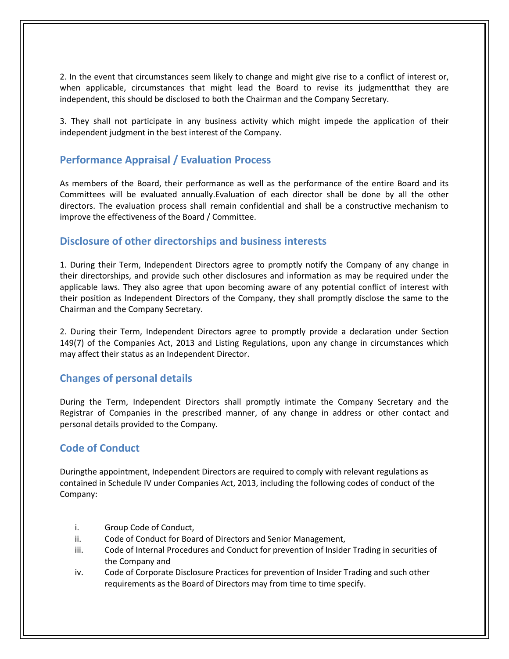2. In the event that circumstances seem likely to change and might give rise to a conflict of interest or, when applicable, circumstances that might lead the Board to revise its judgmentthat they are independent, this should be disclosed to both the Chairman and the Company Secretary.

3. They shall not participate in any business activity which might impede the application of their independent judgment in the best interest of the Company.

## **Performance Appraisal / Evaluation Process**

As members of the Board, their performance as well as the performance of the entire Board and its Committees will be evaluated annually.Evaluation of each director shall be done by all the other directors. The evaluation process shall remain confidential and shall be a constructive mechanism to improve the effectiveness of the Board / Committee.

## **Disclosure of other directorships and business interests**

1. During their Term, Independent Directors agree to promptly notify the Company of any change in their directorships, and provide such other disclosures and information as may be required under the applicable laws. They also agree that upon becoming aware of any potential conflict of interest with their position as Independent Directors of the Company, they shall promptly disclose the same to the Chairman and the Company Secretary.

2. During their Term, Independent Directors agree to promptly provide a declaration under Section 149(7) of the Companies Act, 2013 and Listing Regulations, upon any change in circumstances which may affect their status as an Independent Director.

# **Changes of personal details**

During the Term, Independent Directors shall promptly intimate the Company Secretary and the Registrar of Companies in the prescribed manner, of any change in address or other contact and personal details provided to the Company.

# **Code of Conduct**

Duringthe appointment, Independent Directors are required to comply with relevant regulations as contained in Schedule IV under Companies Act, 2013, including the following codes of conduct of the Company:

- i. Group Code of Conduct,
- ii. Code of Conduct for Board of Directors and Senior Management,
- iii. Code of Internal Procedures and Conduct for prevention of Insider Trading in securities of the Company and
- iv. Code of Corporate Disclosure Practices for prevention of Insider Trading and such other requirements as the Board of Directors may from time to time specify.